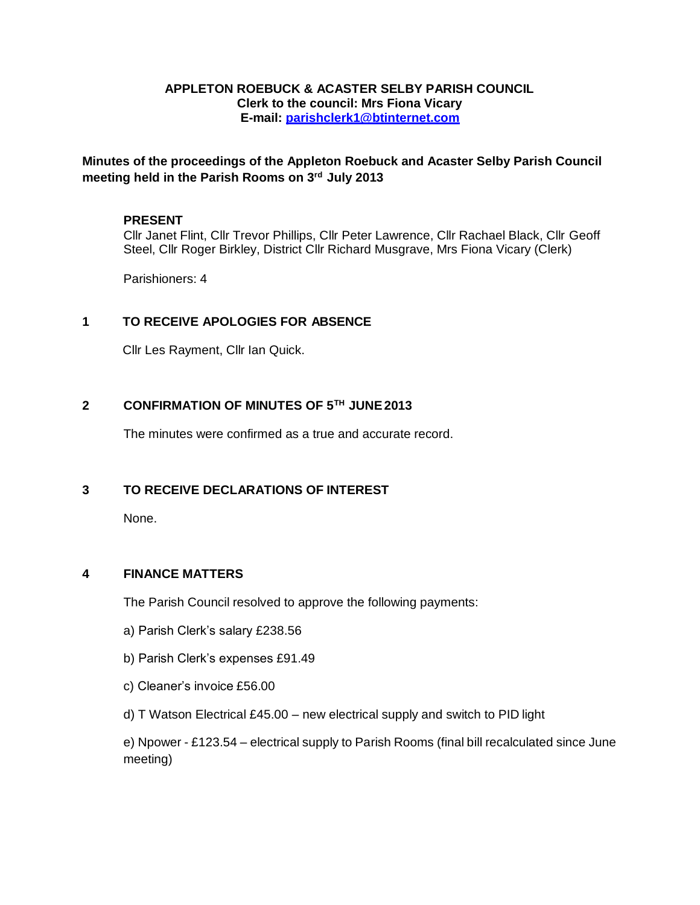#### **APPLETON ROEBUCK & ACASTER SELBY PARISH COUNCIL Clerk to the council: Mrs Fiona Vicary E-mail: [parishclerk1@btinternet.com](mailto:parishclerk1@btinternet.com)**

**Minutes of the proceedings of the Appleton Roebuck and Acaster Selby Parish Council meeting held in the Parish Rooms on 3rd July 2013**

#### **PRESENT**

Cllr Janet Flint, Cllr Trevor Phillips, Cllr Peter Lawrence, Cllr Rachael Black, Cllr Geoff Steel, Cllr Roger Birkley, District Cllr Richard Musgrave, Mrs Fiona Vicary (Clerk)

Parishioners: 4

#### **1 TO RECEIVE APOLOGIES FOR ABSENCE**

Cllr Les Rayment, Cllr Ian Quick.

#### **2 CONFIRMATION OF MINUTES OF 5TH JUNE2013**

The minutes were confirmed as a true and accurate record.

#### **3 TO RECEIVE DECLARATIONS OF INTEREST**

None.

#### **4 FINANCE MATTERS**

The Parish Council resolved to approve the following payments:

- a) Parish Clerk's salary £238.56
- b) Parish Clerk's expenses £91.49
- c) Cleaner's invoice £56.00
- d) T Watson Electrical £45.00 new electrical supply and switch to PID light

e) Npower - £123.54 – electrical supply to Parish Rooms (final bill recalculated since June meeting)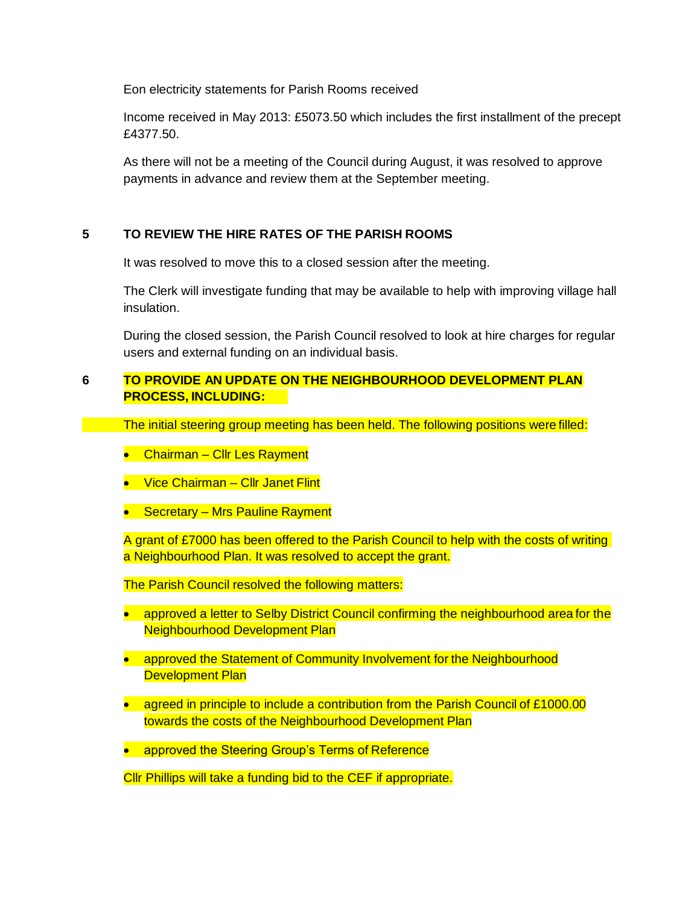Eon electricity statements for Parish Rooms received

Income received in May 2013: £5073.50 which includes the first installment of the precept £4377.50.

As there will not be a meeting of the Council during August, it was resolved to approve payments in advance and review them at the September meeting.

### **5 TO REVIEW THE HIRE RATES OF THE PARISH ROOMS**

It was resolved to move this to a closed session after the meeting.

The Clerk will investigate funding that may be available to help with improving village hall insulation.

During the closed session, the Parish Council resolved to look at hire charges for regular users and external funding on an individual basis.

### **6 TO PROVIDE AN UPDATE ON THE NEIGHBOURHOOD DEVELOPMENT PLAN PROCESS, INCLUDING:**

The initial steering group meeting has been held. The following positions were filled:

- Chairman Cllr Les Rayment
- Vice Chairman Cllr Janet Flint
- Secretary Mrs Pauline Rayment

A grant of £7000 has been offered to the Parish Council to help with the costs of writing a Neighbourhood Plan. It was resolved to accept the grant.

The Parish Council resolved the following matters:

- approved a letter to Selby District Council confirming the neighbourhood area for the Neighbourhood Development Plan
- approved the Statement of Community Involvement for the Neighbourhood Development Plan
- agreed in principle to include a contribution from the Parish Council of £1000.00 towards the costs of the Neighbourhood Development Plan
- approved the Steering Group's Terms of Reference

Cllr Phillips will take a funding bid to the CEF if appropriate.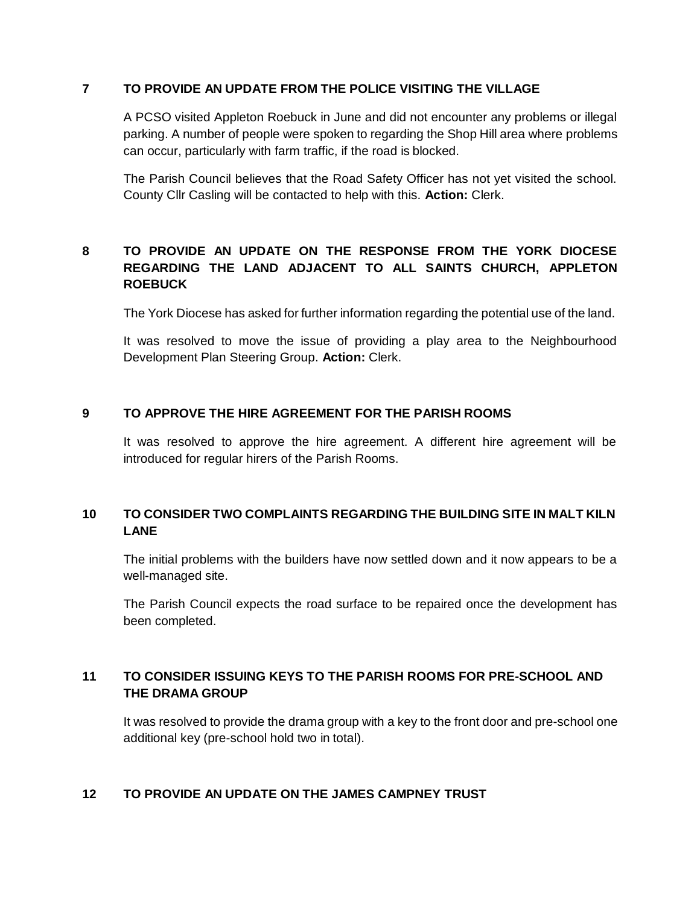#### **7 TO PROVIDE AN UPDATE FROM THE POLICE VISITING THE VILLAGE**

A PCSO visited Appleton Roebuck in June and did not encounter any problems or illegal parking. A number of people were spoken to regarding the Shop Hill area where problems can occur, particularly with farm traffic, if the road is blocked.

The Parish Council believes that the Road Safety Officer has not yet visited the school. County Cllr Casling will be contacted to help with this. **Action:** Clerk.

# **8 TO PROVIDE AN UPDATE ON THE RESPONSE FROM THE YORK DIOCESE REGARDING THE LAND ADJACENT TO ALL SAINTS CHURCH, APPLETON ROEBUCK**

The York Diocese has asked for further information regarding the potential use of the land.

It was resolved to move the issue of providing a play area to the Neighbourhood Development Plan Steering Group. **Action:** Clerk.

#### **9 TO APPROVE THE HIRE AGREEMENT FOR THE PARISH ROOMS**

It was resolved to approve the hire agreement. A different hire agreement will be introduced for regular hirers of the Parish Rooms.

# **10 TO CONSIDER TWO COMPLAINTS REGARDING THE BUILDING SITE IN MALT KILN LANE**

The initial problems with the builders have now settled down and it now appears to be a well-managed site.

The Parish Council expects the road surface to be repaired once the development has been completed.

## **11 TO CONSIDER ISSUING KEYS TO THE PARISH ROOMS FOR PRE-SCHOOL AND THE DRAMA GROUP**

It was resolved to provide the drama group with a key to the front door and pre-school one additional key (pre-school hold two in total).

#### **12 TO PROVIDE AN UPDATE ON THE JAMES CAMPNEY TRUST**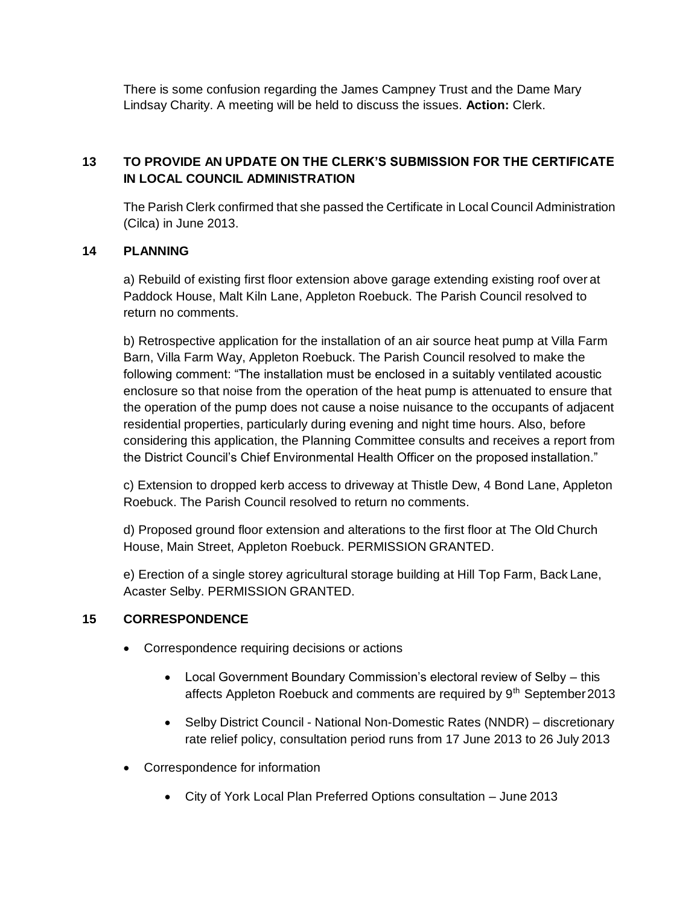There is some confusion regarding the James Campney Trust and the Dame Mary Lindsay Charity. A meeting will be held to discuss the issues. **Action:** Clerk.

# **13 TO PROVIDE AN UPDATE ON THE CLERK'S SUBMISSION FOR THE CERTIFICATE IN LOCAL COUNCIL ADMINISTRATION**

The Parish Clerk confirmed that she passed the Certificate in Local Council Administration (Cilca) in June 2013.

## **14 PLANNING**

a) Rebuild of existing first floor extension above garage extending existing roof over at Paddock House, Malt Kiln Lane, Appleton Roebuck. The Parish Council resolved to return no comments.

b) Retrospective application for the installation of an air source heat pump at Villa Farm Barn, Villa Farm Way, Appleton Roebuck. The Parish Council resolved to make the following comment: "The installation must be enclosed in a suitably ventilated acoustic enclosure so that noise from the operation of the heat pump is attenuated to ensure that the operation of the pump does not cause a noise nuisance to the occupants of adjacent residential properties, particularly during evening and night time hours. Also, before considering this application, the Planning Committee consults and receives a report from the District Council's Chief Environmental Health Officer on the proposed installation."

c) Extension to dropped kerb access to driveway at Thistle Dew, 4 Bond Lane, Appleton Roebuck. The Parish Council resolved to return no comments.

d) Proposed ground floor extension and alterations to the first floor at The Old Church House, Main Street, Appleton Roebuck. PERMISSION GRANTED.

e) Erection of a single storey agricultural storage building at Hill Top Farm, Back Lane, Acaster Selby. PERMISSION GRANTED.

## **15 CORRESPONDENCE**

- Correspondence requiring decisions or actions
	- Local Government Boundary Commission's electoral review of Selby this affects Appleton Roebuck and comments are required by 9<sup>th</sup> September 2013
	- Selby District Council National Non-Domestic Rates (NNDR) discretionary rate relief policy, consultation period runs from 17 June 2013 to 26 July 2013
- Correspondence for information
	- City of York Local Plan Preferred Options consultation June 2013